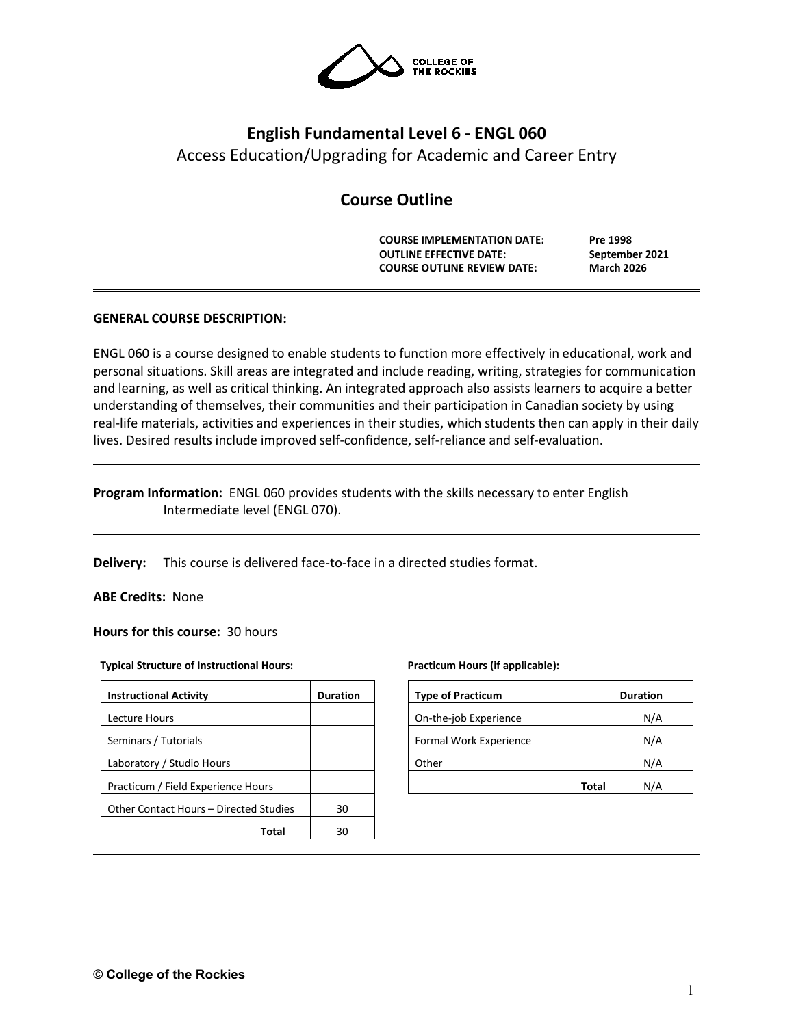

# **English Fundamental Level 6 - ENGL 060** Access Education/Upgrading for Academic and Career Entry

## **Course Outline**

**COURSE IMPLEMENTATION DATE: Pre 1998 OUTLINE EFFECTIVE DATE: September 2021 COURSE OUTLINE REVIEW DATE: March 2026**

## **GENERAL COURSE DESCRIPTION:**

ENGL 060 is a course designed to enable students to function more effectively in educational, work and personal situations. Skill areas are integrated and include reading, writing, strategies for communication and learning, as well as critical thinking. An integrated approach also assists learners to acquire a better understanding of themselves, their communities and their participation in Canadian society by using real-life materials, activities and experiences in their studies, which students then can apply in their daily lives. Desired results include improved self-confidence, self-reliance and self-evaluation.

## **Program Information:** ENGL 060 provides students with the skills necessary to enter English Intermediate level (ENGL 070).

**Delivery:** This course is delivered face-to-face in a directed studies format.

**ABE Credits:** None

**Hours for this course:** 30 hours

#### **Typical Structure of Instructional Hours:**

| <b>Duration</b> |
|-----------------|
|                 |
|                 |
|                 |
|                 |
| 30              |
| ٩O              |
|                 |

#### **Practicum Hours (if applicable):**

| <b>Type of Practicum</b> | <b>Duration</b> |
|--------------------------|-----------------|
| On-the-job Experience    | N/A             |
| Formal Work Experience   | N/A             |
| Other                    | N/A             |
| Total                    | N/A             |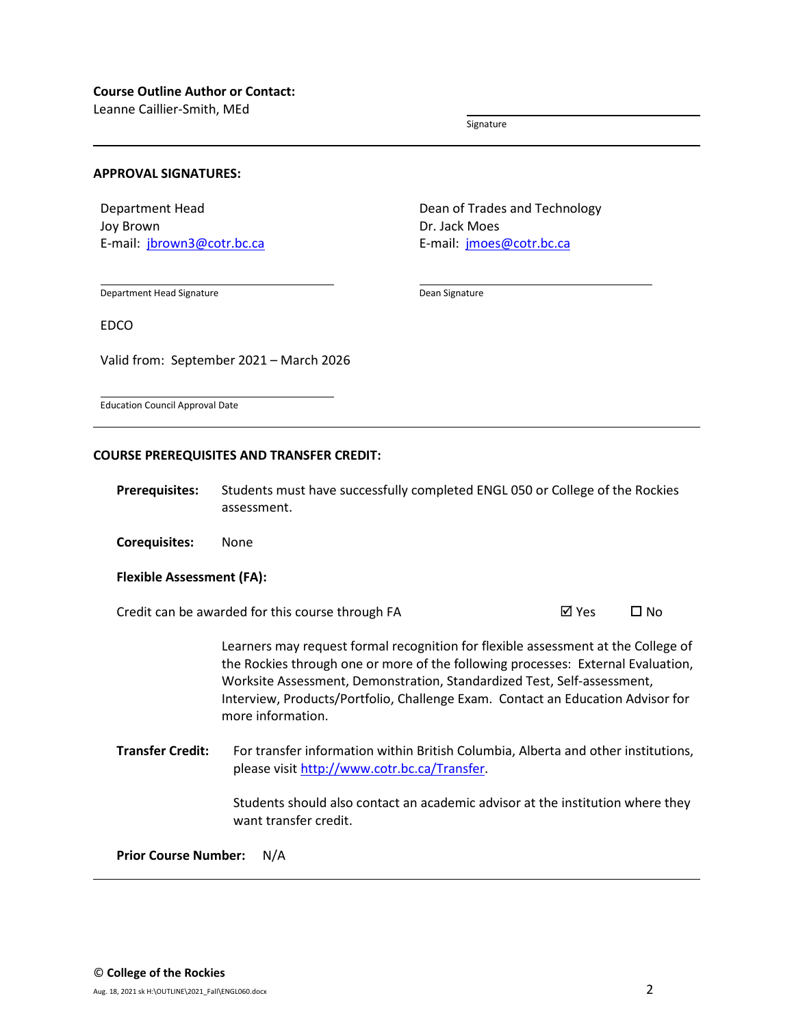Leanne Caillier-Smith, MEd

Signature

#### **APPROVAL SIGNATURES:**

Department Head Joy Brown E-mail: [jbrown3@cotr.bc.ca](mailto:jbrown3@cotr.bc.ca) Dean of Trades and Technology Dr. Jack Moes E-mail: [jmoes@cotr.bc.ca](mailto:jmoes@cotr.bc.ca)

Department Head Signature

Dean Signature

EDCO

Valid from: September 2021 – March 2026

Education Council Approval Date

#### **COURSE PREREQUISITES AND TRANSFER CREDIT:**

**Prerequisites:** Students must have successfully completed ENGL 050 or College of the Rockies assessment.

**Corequisites:** None

#### **Flexible Assessment (FA):**

Credit can be awarded for this course through FA  $\boxtimes$  Yes  $\Box$  No

Learners may request formal recognition for flexible assessment at the College of the Rockies through one or more of the following processes: External Evaluation, Worksite Assessment, Demonstration, Standardized Test, Self-assessment, Interview, Products/Portfolio, Challenge Exam. Contact an Education Advisor for more information.

**Transfer Credit:** For transfer information within British Columbia, Alberta and other institutions, please visit [http://www.cotr.bc.ca/Transfer.](http://www.cotr.bc.ca/Transfer)

> Students should also contact an academic advisor at the institution where they want transfer credit.

**Prior Course Number:** N/A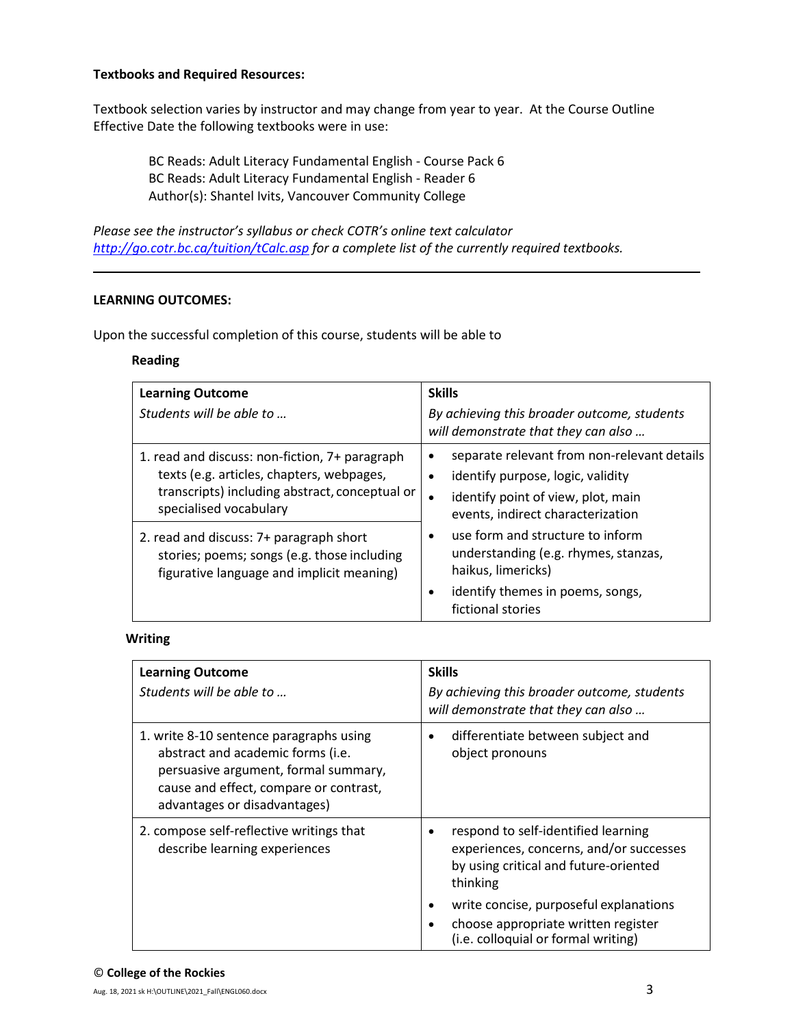### **Textbooks and Required Resources:**

Textbook selection varies by instructor and may change from year to year. At the Course Outline Effective Date the following textbooks were in use:

BC Reads: Adult Literacy Fundamental English - Course Pack 6 BC Reads: Adult Literacy Fundamental English - Reader 6 Author(s): Shantel Ivits, Vancouver Community College

*Please see the instructor's syllabus or check COTR's online text calculator <http://go.cotr.bc.ca/tuition/tCalc.asp> for a complete list of the currently required textbooks.*

#### **LEARNING OUTCOMES:**

Upon the successful completion of this course, students will be able to

#### **Reading**

| <b>Learning Outcome</b><br>Students will be able to                                                                                                                     | <b>Skills</b><br>By achieving this broader outcome, students<br>will demonstrate that they can also                                                                      |
|-------------------------------------------------------------------------------------------------------------------------------------------------------------------------|--------------------------------------------------------------------------------------------------------------------------------------------------------------------------|
| 1. read and discuss: non-fiction, 7+ paragraph<br>texts (e.g. articles, chapters, webpages,<br>transcripts) including abstract, conceptual or<br>specialised vocabulary | separate relevant from non-relevant details<br>$\bullet$<br>identify purpose, logic, validity<br>identify point of view, plot, main<br>events, indirect characterization |
| 2. read and discuss: 7+ paragraph short<br>stories; poems; songs (e.g. those including<br>figurative language and implicit meaning)                                     | use form and structure to inform<br>understanding (e.g. rhymes, stanzas,<br>haikus, limericks)<br>identify themes in poems, songs,<br>fictional stories                  |

### **Writing**

| <b>Learning Outcome</b><br>Students will be able to                                                                                                                                            | <b>Skills</b><br>By achieving this broader outcome, students<br>will demonstrate that they can also                                 |
|------------------------------------------------------------------------------------------------------------------------------------------------------------------------------------------------|-------------------------------------------------------------------------------------------------------------------------------------|
| 1. write 8-10 sentence paragraphs using<br>abstract and academic forms (i.e.<br>persuasive argument, formal summary,<br>cause and effect, compare or contrast,<br>advantages or disadvantages) | differentiate between subject and<br>object pronouns                                                                                |
| 2. compose self-reflective writings that<br>describe learning experiences                                                                                                                      | respond to self-identified learning<br>experiences, concerns, and/or successes<br>by using critical and future-oriented<br>thinking |
|                                                                                                                                                                                                | write concise, purposeful explanations<br>choose appropriate written register<br>(i.e. colloquial or formal writing)                |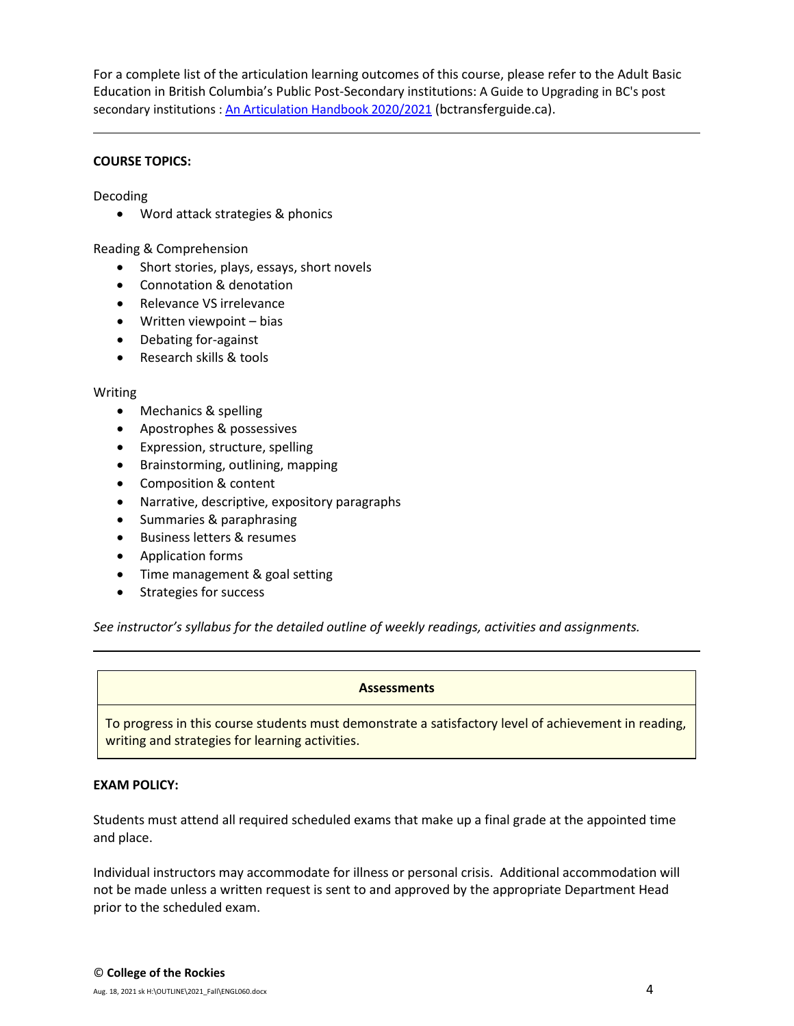For a complete list of the articulation learning outcomes of this course, please refer to the Adult Basic Education in British Columbia's Public Post-Secondary institutions: A Guide to Upgrading in BC's post secondary institutions : [An Articulation Handbook 2020/2021](https://www.bctransferguide.ca/docs/ABE2020.pdf) (bctransferguide.ca).

### **COURSE TOPICS:**

Decoding

• Word attack strategies & phonics

Reading & Comprehension

- Short stories, plays, essays, short novels
- Connotation & denotation
- Relevance VS irrelevance
- Written viewpoint bias
- Debating for-against
- Research skills & tools

#### Writing

- Mechanics & spelling
- Apostrophes & possessives
- Expression, structure, spelling
- Brainstorming, outlining, mapping
- Composition & content
- Narrative, descriptive, expository paragraphs
- Summaries & paraphrasing
- Business letters & resumes
- Application forms
- Time management & goal setting
- Strategies for success

*See instructor's syllabus for the detailed outline of weekly readings, activities and assignments.* 

#### **Assessments**

To progress in this course students must demonstrate a satisfactory level of achievement in reading, writing and strategies for learning activities.

#### **EXAM POLICY:**

Students must attend all required scheduled exams that make up a final grade at the appointed time and place.

Individual instructors may accommodate for illness or personal crisis. Additional accommodation will not be made unless a written request is sent to and approved by the appropriate Department Head prior to the scheduled exam.